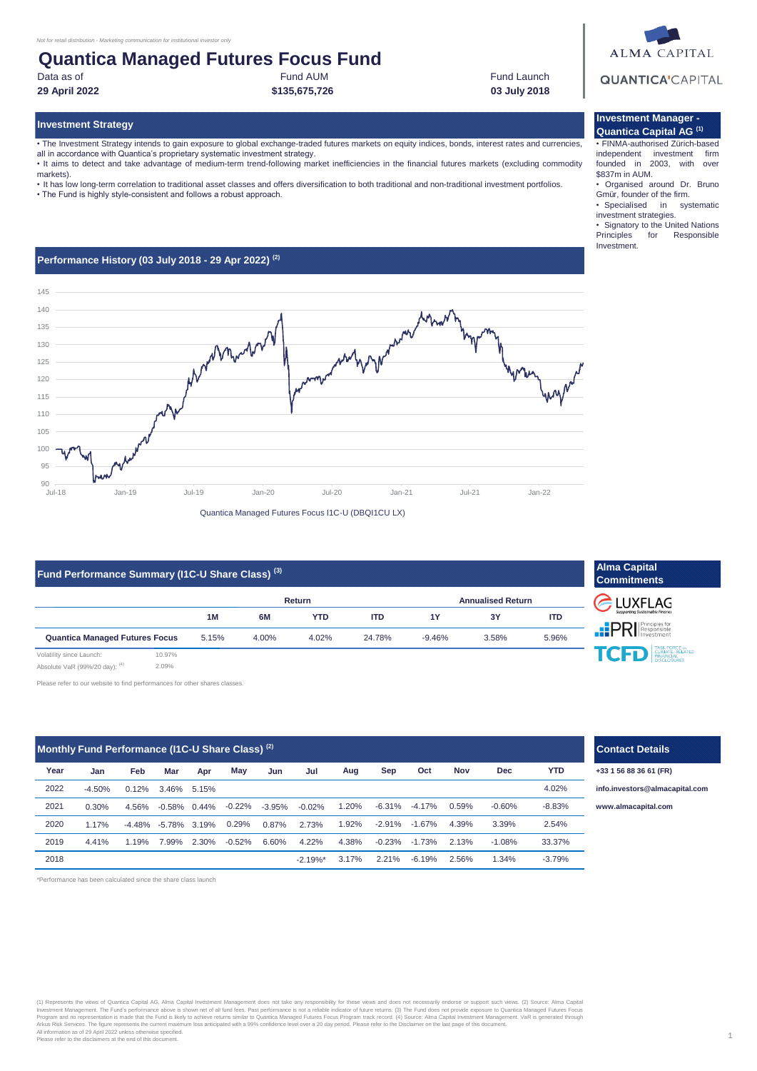### Fund AUM **Quantica Managed Futures Focus Fund**

Data as of

**29 April 2022 03 July 2018**

Fund Launch

• The Investment Strategy intends to gain exposure to global exchange-traded futures markets on equity indices, bonds, interest rates and currencies, all in accordance with Quantica's proprietary systematic investment strategy.

**\$135,675,726**

• It aims to detect and take advantage of medium-term trend-following market inefficiencies in the financial futures markets (excluding commodity markets).

• It has low long-term correlation to traditional asset classes and offers diversification to both traditional and non-traditional investment portfolios.

• The Fund is highly style-consistent and follows a robust approach.

#### **Performance History (03 July 2018 - 29 Apr 2022) (2)**



### **Fund Performance Summary (I1C-U Share Class) (3)**

|                                       |        | <b>Return</b> |       |       |            | <b>Annualised Return</b> |       |       |
|---------------------------------------|--------|---------------|-------|-------|------------|--------------------------|-------|-------|
|                                       |        | 1M            | 6M    | YTD   | <b>ITD</b> | 1Y                       | 3Y    | ITD   |
| <b>Quantica Managed Futures Focus</b> |        | 5.15%         | 4.00% | 4.02% | 24.78%     | $-9.46%$                 | 3.58% | 5.96% |
| Volatility since Launch:              | 10.97% |               |       |       |            |                          |       |       |

Absolute VaR (99%/20 day): (4) 2.09%

Please refer to our website to find performances for other shares classes.

| Monthly Fund Performance (I1C-U Share Class) <sup>(2)</sup> |          |          |                 |       |           |          |             |       |          |          |       |          |            |
|-------------------------------------------------------------|----------|----------|-----------------|-------|-----------|----------|-------------|-------|----------|----------|-------|----------|------------|
| Year                                                        | Jan      | Feb      | Mar             | Apr   | May       | Jun      | Jul         | Aug   | Sep      | Oct      | Nov   | Dec      | <b>YTD</b> |
| 2022                                                        | $-4.50%$ | 0.12%    | 3.46%           | 5.15% |           |          |             |       |          |          |       |          | 4.02%      |
| 2021                                                        | 0.30%    | 4.56%    | $-0.58\%$       | 0.44% | $-0.22\%$ | $-3.95%$ | $-0.02%$    | 1.20% | $-6.31%$ | $-4.17%$ | 0.59% | $-0.60%$ | $-8.83%$   |
| 2020                                                        | 1.17%    | $-4.48%$ | $-5.78\%$ 3.19% |       | 0.29%     | 0.87%    | 2.73%       | 1.92% | $-2.91%$ | $-1.67%$ | 4.39% | 3.39%    | 2.54%      |
| 2019                                                        | 4.41%    | 1.19%    | 7.99%           | 2.30% | $-0.52%$  | 6.60%    | 4.22%       | 4.38% | $-0.23%$ | $-1.73%$ | 2.13% | $-1.08%$ | 33.37%     |
| 2018                                                        |          |          |                 |       |           |          | $-2.19\%$ * | 3.17% | 2.21%    | $-6.19%$ | 2.56% | 1.34%    | $-3.79%$   |

\*Performance has been calculated since the share class launch

# (1) Represents the views of Quantica Capital AG. Alma Capital Investment Management does not take any responsibility for these views and does not necessarily endorse or support such views. (2) Source: Alma Capital<br>Investme

# **QUANTICA'CAPITAL**

**ALMA CAPITAL** 

#### **Investment Strategy Investment Manager - Quantica Capital AG (1)**

• FINMA-authorised Zürich-based independent investment firm founded in 2003, with over \$837m in AUM.

• Organised around Dr. Bruno Gmür, founder of the firm.

• Specialised in systematic investment strategies.

• Signatory to the United Nations<br>Principles for Responsible Responsible Investment.

| <b>Commitments</b>                          |  |  |  |  |  |
|---------------------------------------------|--|--|--|--|--|
| C LUXFLAG<br>Supporting Sustainable Finance |  |  |  |  |  |
| <b>EPRI</b> Responsible                     |  |  |  |  |  |
| <b>TCFD</b> ENANCIAL<br><b>SCLOSURES</b>    |  |  |  |  |  |
|                                             |  |  |  |  |  |

**Alma Capital** 



**Year +33 1 56 88 36 61 (FR)**

**[info.in](mailto:info.investors@almacapital.com)vestors@almacapital.com**

**[www.](http://www.almacapital.com/)almacapital.com**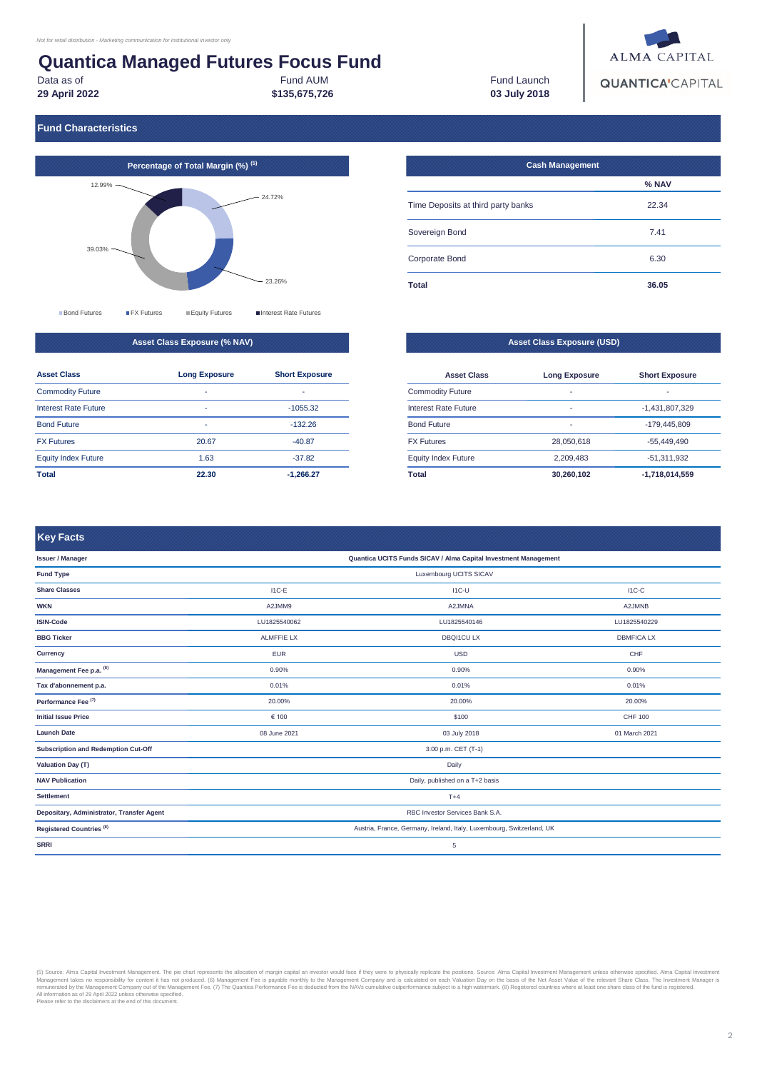# **Quantica Managed Futures Focus Fund**

Data as of

**29 April 2022**

Fund AUM **\$135,675,726**

Fund Launch **03 July 2018**



#### **Fund Characteristics**



#### **Asset Class Exposure (% NAV)**

| <b>Asset Class</b>          | <b>Long Exposure</b> | <b>Short Exposure</b> |
|-----------------------------|----------------------|-----------------------|
| <b>Commodity Future</b>     | -                    | ٠                     |
| <b>Interest Rate Future</b> | ۰                    | $-1055.32$            |
| <b>Bond Future</b>          | -                    | $-132.26$             |
| <b>FX Futures</b>           | 20.67                | $-40.87$              |
| <b>Equity Index Future</b>  | 1.63                 | $-37.82$              |
| Total                       | 22.30                | $-1,266.27$           |

#### 6.30 **36.05** Time Deposits at third party banks Sovereign Bond Corporate Bond **Total % NAV** 22.34 7.41 **Cash Management**

#### **Asset Class Exposure (USD)**

| <b>Asset Class</b>          | <b>Long Exposure</b> | <b>Short Exposure</b> |
|-----------------------------|----------------------|-----------------------|
| <b>Commodity Future</b>     | -                    | -                     |
| <b>Interest Rate Future</b> | -                    | $-1.431.807.329$      |
| <b>Bond Future</b>          | $\overline{a}$       | $-179.445.809$        |
| <b>FX Futures</b>           | 28,050,618           | $-55,449,490$         |
| <b>Equity Index Future</b>  | 2.209.483            | $-51.311.932$         |
| Total                       | 30,260,102           | $-1,718,014,559$      |

I1C-C

#### 0.90%  $I1C-U$ I1C-E A2JMM9 LU1825540062 ALMFFIE LX EUR **Key Facts Issuer / Manager Share Classes Quantica UCITS Funds SICAV / Alma Capital Investment Management Fund Type** Luxembourg UCITS SICAV

| <b>WKN</b>                                | A2JMM9                                                                | A2JMNA           | A2JMNB            |  |  |  |
|-------------------------------------------|-----------------------------------------------------------------------|------------------|-------------------|--|--|--|
| <b>ISIN-Code</b>                          | LU1825540062                                                          | LU1825540146     | LU1825540229      |  |  |  |
| <b>BBG Ticker</b>                         | <b>ALMFFIE LX</b>                                                     | <b>DBQI1CULX</b> | <b>DBMFICA LX</b> |  |  |  |
| <b>Currency</b>                           | <b>EUR</b>                                                            | <b>USD</b>       | CHF               |  |  |  |
| Management Fee p.a. (6)                   | 0.90%                                                                 | 0.90%            | 0.90%             |  |  |  |
| Tax d'abonnement p.a.                     | 0.01%                                                                 | 0.01%            | 0.01%             |  |  |  |
| Performance Fee <sup>(7)</sup>            | 20.00%                                                                | 20.00%           | 20.00%            |  |  |  |
| <b>Initial Issue Price</b>                | € 100                                                                 | \$100            | <b>CHF 100</b>    |  |  |  |
| <b>Launch Date</b>                        | 08 June 2021                                                          | 03 July 2018     | 01 March 2021     |  |  |  |
| Subscription and Redemption Cut-Off       | 3:00 p.m. CET (T-1)                                                   |                  |                   |  |  |  |
| <b>Valuation Day (T)</b>                  | Daily                                                                 |                  |                   |  |  |  |
| <b>NAV Publication</b>                    | Daily, published on a T+2 basis                                       |                  |                   |  |  |  |
| <b>Settlement</b>                         | $T+4$                                                                 |                  |                   |  |  |  |
| Depositary, Administrator, Transfer Agent | RBC Investor Services Bank S.A.                                       |                  |                   |  |  |  |
| Registered Countries <sup>(8)</sup>       | Austria, France, Germany, Ireland, Italy, Luxembourg, Switzerland, UK |                  |                   |  |  |  |
| <b>SRRI</b>                               | 5                                                                     |                  |                   |  |  |  |
|                                           |                                                                       |                  |                   |  |  |  |

(5) Source: Alma Capital Investment Management. The pie chart represents the allocation of margin capital an investor would face if they were to physically repicted the position. Source: Alma Capital Investment Management